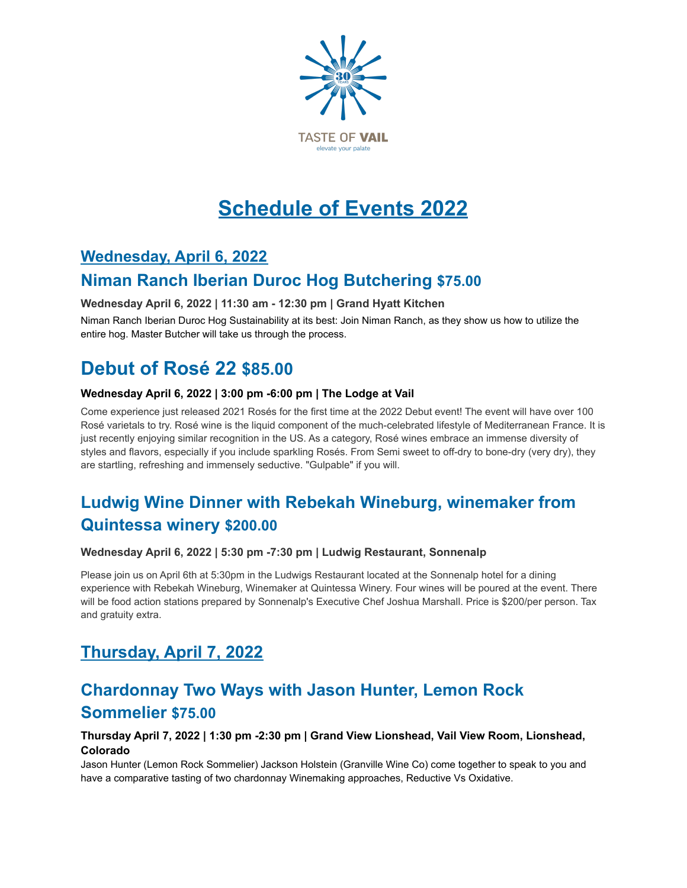

# **Schedule of Events 2022**

## **Wednesday, April 6, 2022 [Niman Ranch Iberian Duroc Hog Butchering](https://www.tasteofvail.com/events/view/305/Niman%20Ranch%20Iberian%20Duroc%20Hog%20Butchering) \$75.00**

**Wednesday April 6, 2022 | 11:30 am - 12:30 pm | Grand Hyatt Kitchen**

Niman Ranch Iberian Duroc Hog Sustainability at its best: Join Niman Ranch, as they show us how to utilize the entire hog. Master Butcher will take us through the process.

# **Debut of Rosé 22 \$85.00**

### **Wednesday April 6, 2022 | 3:00 pm -6:00 pm | The Lodge at Vail**

Come experience just released 2021 Rosés for the first time at the 2022 Debut event! The event will have over 100 Rosé varietals to try. Rosé wine is the liquid component of the much-celebrated lifestyle of Mediterranean France. It is just recently enjoying similar recognition in the US. As a category, Rosé wines embrace an immense diversity of styles and flavors, especially if you include sparkling Rosés. From Semi sweet to off-dry to bone-dry (very dry), they are startling, refreshing and immensely seductive. "Gulpable" if you will.

## **Ludwig Wine Dinner with Rebekah Wineburg, winemaker from Quintessa winery \$200.00**

### **Wednesday April 6, 2022 | 5:30 pm -7:30 pm | Ludwig Restaurant, Sonnenalp**

Please join us on April 6th at 5:30pm in the Ludwigs Restaurant located at the Sonnenalp hotel for a dining experience with Rebekah Wineburg, Winemaker at Quintessa Winery. Four wines will be poured at the event. There will be food action stations prepared by Sonnenalp's Executive Chef Joshua Marshall. Price is \$200/per person. Tax and gratuity extra.

## **Thursday, April 7, 2022**

### **Chardonnay Two Ways with Jason Hunter, Lemon Rock Sommelier \$75.00**

### **Thursday April 7, 2022 | 1:30 pm -2:30 pm | Grand View Lionshead, Vail View Room, Lionshead, Colorado**

Jason Hunter (Lemon Rock Sommelier) Jackson Holstein (Granville Wine Co) come together to speak to you and have a comparative tasting of two chardonnay Winemaking approaches, Reductive Vs Oxidative.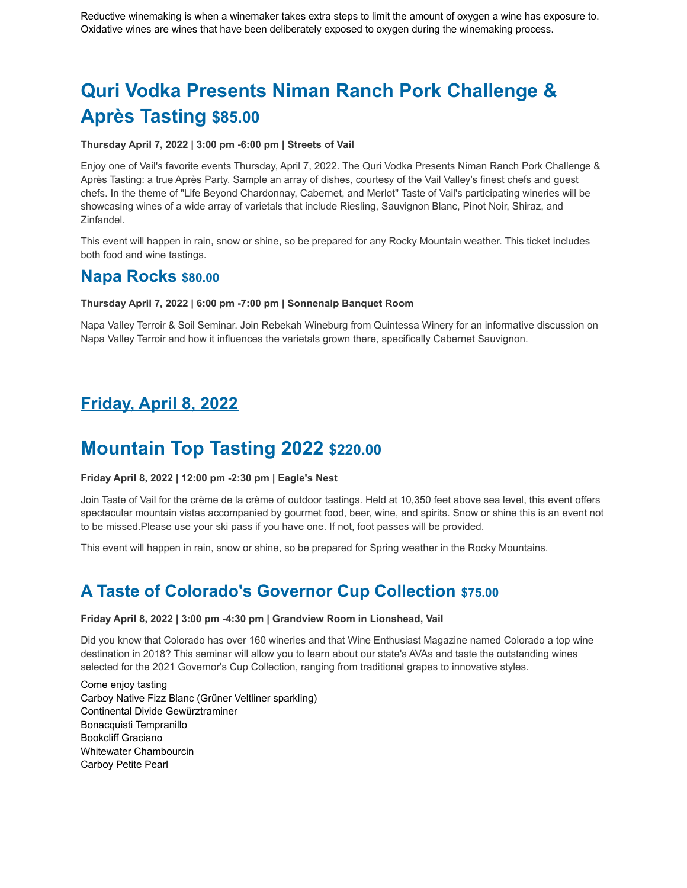# **Quri Vodka Presents Niman Ranch Pork Challenge & Après Tasting \$85.00**

#### **Thursday April 7, 2022 | 3:00 pm -6:00 pm | Streets of Vail**

Enjoy one of Vail's favorite events Thursday, April 7, 2022. The Quri Vodka Presents Niman Ranch Pork Challenge & Après Tasting: a true Après Party. Sample an array of dishes, courtesy of the Vail Valley's finest chefs and guest chefs. In the theme of "Life Beyond Chardonnay, Cabernet, and Merlot" Taste of Vail's participating wineries will be showcasing wines of a wide array of varietals that include Riesling, Sauvignon Blanc, Pinot Noir, Shiraz, and Zinfandel.

This event will happen in rain, snow or shine, so be prepared for any Rocky Mountain weather. This ticket includes both food and wine tastings.

### **Napa Rocks \$80.00**

#### **Thursday April 7, 2022 | 6:00 pm -7:00 pm | Sonnenalp Banquet Room**

Napa Valley Terroir & Soil Seminar. Join Rebekah Wineburg from Quintessa Winery for an informative discussion on Napa Valley Terroir and how it influences the varietals grown there, specifically Cabernet Sauvignon.

### **Friday, April 8, 2022**

### **Mountain Top Tasting 2022 \$220.00**

#### **Friday April 8, 2022 | 12:00 pm -2:30 pm | Eagle's Nest**

Join Taste of Vail for the crème de la crème of outdoor tastings. Held at 10,350 feet above sea level, this event offers spectacular mountain vistas accompanied by gourmet food, beer, wine, and spirits. Snow or shine this is an event not to be missed.Please use your ski pass if you have one. If not, foot passes will be provided.

This event will happen in rain, snow or shine, so be prepared for Spring weather in the Rocky Mountains.

### **A Taste of Colorado's Governor Cup Collection \$75.00**

#### **Friday April 8, 2022 | 3:00 pm -4:30 pm | Grandview Room in Lionshead, Vail**

Did you know that Colorado has over 160 wineries and that Wine Enthusiast Magazine named Colorado a top wine destination in 2018? This seminar will allow you to learn about our state's AVAs and taste the outstanding wines selected for the 2021 Governor's Cup Collection, ranging from traditional grapes to innovative styles.

Come enjoy tasting Carboy Native Fizz Blanc (Grüner Veltliner sparkling) Continental Divide Gewürztraminer Bonacquisti Tempranillo Bookcliff Graciano Whitewater Chambourcin Carboy Petite Pearl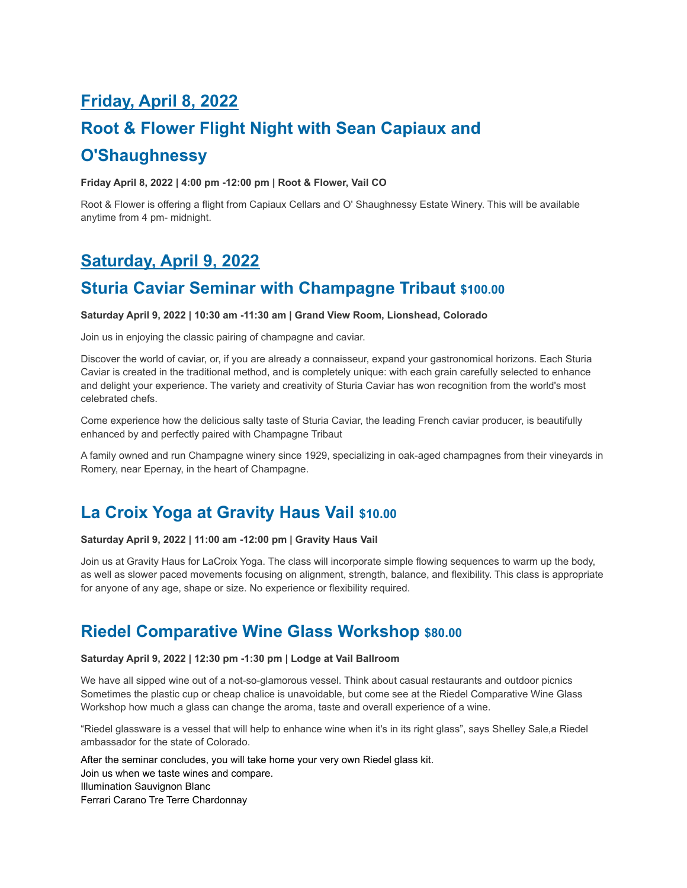## **Friday, April 8, 2022**

# **Root & Flower Flight Night with Sean Capiaux and O'Shaughnessy**

**Friday April 8, 2022 | 4:00 pm -12:00 pm | Root & Flower, Vail CO**

Root & Flower is offering a flight from Capiaux Cellars and O' Shaughnessy Estate Winery. This will be available anytime from 4 pm- midnight.

### **Saturday, April 9, 2022**

### **Sturia Caviar Seminar with Champagne Tribaut \$100.00**

#### **Saturday April 9, 2022 | 10:30 am -11:30 am | Grand View Room, Lionshead, Colorado**

Join us in enjoying the classic pairing of champagne and caviar.

Discover the world of caviar, or, if you are already a connaisseur, expand your gastronomical horizons. Each Sturia Caviar is created in the traditional method, and is completely unique: with each grain carefully selected to enhance and delight your experience. The variety and creativity of Sturia Caviar has won recognition from the world's most celebrated chefs.

Come experience how the delicious salty taste of Sturia Caviar, the leading French caviar producer, is beautifully enhanced by and perfectly paired with Champagne Tribaut

A family owned and run Champagne winery since 1929, specializing in oak-aged champagnes from their vineyards in Romery, near Epernay, in the heart of Champagne.

### **La Croix Yoga at Gravity Haus Vail \$10.00**

#### **Saturday April 9, 2022 | 11:00 am -12:00 pm | Gravity Haus Vail**

Join us at Gravity Haus for LaCroix Yoga. The class will incorporate simple flowing sequences to warm up the body, as well as slower paced movements focusing on alignment, strength, balance, and flexibility. This class is appropriate for anyone of any age, shape or size. No experience or flexibility required.

### **Riedel Comparative Wine Glass Workshop \$80.00**

#### **Saturday April 9, 2022 | 12:30 pm -1:30 pm | Lodge at Vail Ballroom**

We have all sipped wine out of a not-so-glamorous vessel. Think about casual restaurants and outdoor picnics Sometimes the plastic cup or cheap chalice is unavoidable, but come see at the Riedel Comparative Wine Glass Workshop how much a glass can change the aroma, taste and overall experience of a wine.

"Riedel glassware is a vessel that will help to enhance wine when it's in its right glass", says Shelley Sale,a Riedel ambassador for the state of Colorado.

After the seminar concludes, you will take home your very own Riedel glass kit. Join us when we taste wines and compare. Illumination Sauvignon Blanc Ferrari Carano Tre Terre Chardonnay